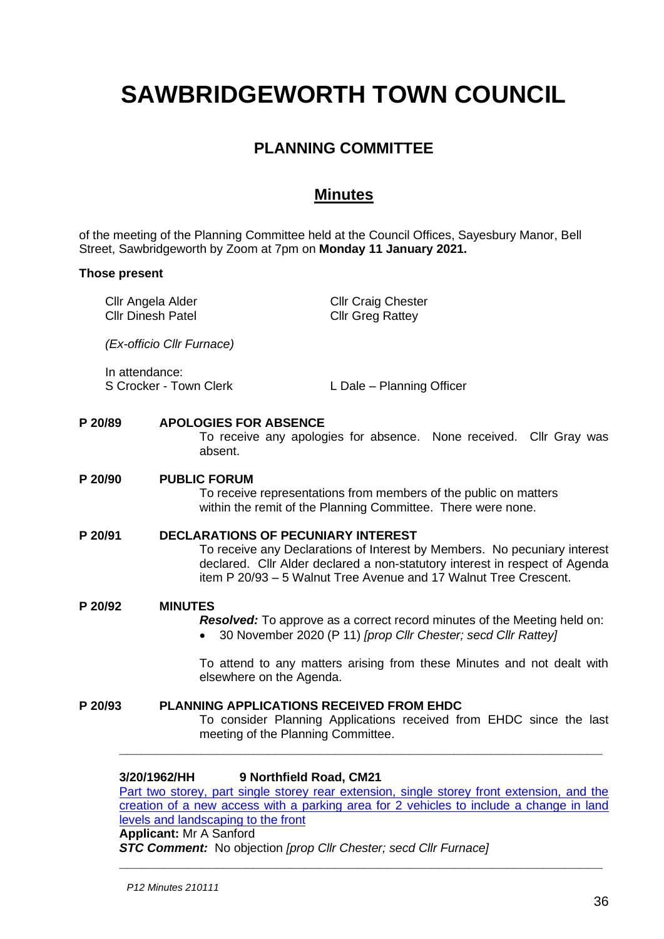# **SAWBRIDGEWORTH TOWN COUNCIL**

# **PLANNING COMMITTEE**

# **Minutes**

of the meeting of the Planning Committee held at the Council Offices, Sayesbury Manor, Bell Street, Sawbridgeworth by Zoom at 7pm on **Monday 11 January 2021.**

# **Those present**

Cllr Angela Alder Cllr Dinesh Patel Cllr Craig Chester Cllr Greg Rattey *(Ex-officio Cllr Furnace)* In attendance:<br>S Crocker - Town Clerk L Dale – Planning Officer **P 20/89 APOLOGIES FOR ABSENCE** To receive any apologies for absence. None received. Cllr Gray was absent. **P 20/90 PUBLIC FORUM** To receive representations from members of the public on matters within the remit of the Planning Committee. There were none. **P 20/91 DECLARATIONS OF PECUNIARY INTEREST** To receive any Declarations of Interest by Members. No pecuniary interest declared. Cllr Alder declared a non-statutory interest in respect of Agenda item P 20/93 – 5 Walnut Tree Avenue and 17 Walnut Tree Crescent. **P 20/92 MINUTES** *Resolved:* To approve as a correct record minutes of the Meeting held on: • 30 November 2020 (P 11) *[prop Cllr Chester; secd Cllr Rattey]* To attend to any matters arising from these Minutes and not dealt with elsewhere on the Agenda. **P 20/93 PLANNING APPLICATIONS RECEIVED FROM EHDC** To consider Planning Applications received from EHDC since the last

# **3/20/1962/HH 9 Northfield Road, CM21**

[Part two storey, part single storey rear extension, single storey front extension, and the](https://publicaccess.eastherts.gov.uk/online-applications/applicationDetails.do?activeTab=documents&keyVal=QHXWFTGLIVK00)  [creation of a new access with a parking area for 2 vehicles to include a change in land](https://publicaccess.eastherts.gov.uk/online-applications/applicationDetails.do?activeTab=documents&keyVal=QHXWFTGLIVK00)  [levels and landscaping to the front](https://publicaccess.eastherts.gov.uk/online-applications/applicationDetails.do?activeTab=documents&keyVal=QHXWFTGLIVK00)

**\_\_\_\_\_\_\_\_\_\_\_\_\_\_\_\_\_\_\_\_\_\_\_\_\_\_\_\_\_\_\_\_\_\_\_\_\_\_\_\_\_\_\_\_\_\_\_\_\_\_\_\_\_\_\_\_\_\_\_\_\_\_\_\_\_**

**\_\_\_\_\_\_\_\_\_\_\_\_\_\_\_\_\_\_\_\_\_\_\_\_\_\_\_\_\_\_\_\_\_\_\_\_\_\_\_\_\_\_\_\_\_\_\_\_\_\_\_\_\_\_\_\_\_\_\_\_\_\_\_\_\_**

#### **Applicant:** Mr A Sanford

*STC Comment:* No objection *[prop Cllr Chester; secd Cllr Furnace]*

meeting of the Planning Committee.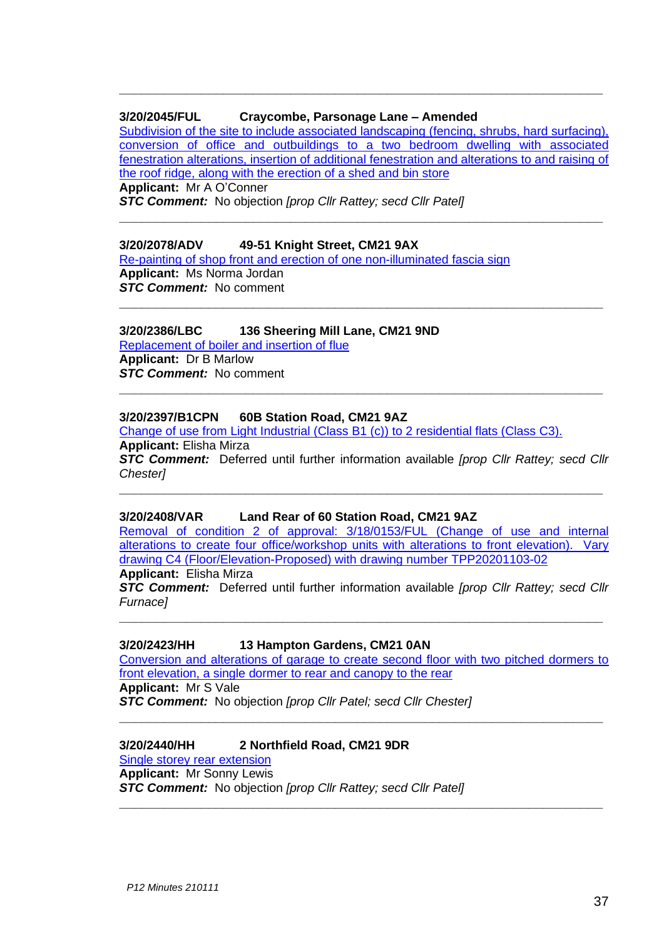#### **3/20/2045/FUL Craycombe, Parsonage Lane – Amended**

[Subdivision of the site to include associated landscaping \(fencing, shrubs, hard surfacing\),](https://publicaccess.eastherts.gov.uk/online-applications/applicationDetails.do?activeTab=documents&keyVal=QIFTN4GL00X00)  [conversion of office and outbuildings to a two bedroom](https://publicaccess.eastherts.gov.uk/online-applications/applicationDetails.do?activeTab=documents&keyVal=QIFTN4GL00X00) dwelling with associated [fenestration alterations, insertion of additional fenestration and alterations to and raising of](https://publicaccess.eastherts.gov.uk/online-applications/applicationDetails.do?activeTab=documents&keyVal=QIFTN4GL00X00)  [the roof ridge, along with the erection of a shed and bin store](https://publicaccess.eastherts.gov.uk/online-applications/applicationDetails.do?activeTab=documents&keyVal=QIFTN4GL00X00)

**\_\_\_\_\_\_\_\_\_\_\_\_\_\_\_\_\_\_\_\_\_\_\_\_\_\_\_\_\_\_\_\_\_\_\_\_\_\_\_\_\_\_\_\_\_\_\_\_\_\_\_\_\_\_\_\_\_\_\_\_\_\_\_\_\_**

**\_\_\_\_\_\_\_\_\_\_\_\_\_\_\_\_\_\_\_\_\_\_\_\_\_\_\_\_\_\_\_\_\_\_\_\_\_\_\_\_\_\_\_\_\_\_\_\_\_\_\_\_\_\_\_\_\_\_\_\_\_\_\_\_\_**

**\_\_\_\_\_\_\_\_\_\_\_\_\_\_\_\_\_\_\_\_\_\_\_\_\_\_\_\_\_\_\_\_\_\_\_\_\_\_\_\_\_\_\_\_\_\_\_\_\_\_\_\_\_\_\_\_\_\_\_\_\_\_\_\_\_**

**\_\_\_\_\_\_\_\_\_\_\_\_\_\_\_\_\_\_\_\_\_\_\_\_\_\_\_\_\_\_\_\_\_\_\_\_\_\_\_\_\_\_\_\_\_\_\_\_\_\_\_\_\_\_\_\_\_\_\_\_\_\_\_\_\_**

**Applicant:** Mr A O'Conner

*STC Comment:* No objection *[prop Cllr Rattey; secd Cllr Patel]*

#### **3/20/2078/ADV 49-51 Knight Street, CM21 9AX**

[Re-painting of shop front and erection of one non-illuminated fascia sign](https://publicaccess.eastherts.gov.uk/online-applications/applicationDetails.do?activeTab=documents&keyVal=QILZ47GLJ3C00) **Applicant:** Ms Norma Jordan *STC Comment:* No comment

#### **3/20/2386/LBC 136 Sheering Mill Lane, CM21 9ND**

[Replacement of boiler and insertion of flue](https://publicaccess.eastherts.gov.uk/online-applications/applicationDetails.do?activeTab=documents&keyVal=QKG3OPGLJOS00) **Applicant:** Dr B Marlow *STC Comment:* No comment

#### **3/20/2397/B1CPN 60B Station Road, CM21 9AZ**

[Change of use from Light Industrial \(Class B1 \(c\)\)](https://publicaccess.eastherts.gov.uk/online-applications/applicationDetails.do?activeTab=documents&keyVal=QKLPK1GL04O00) to 2 residential flats (Class C3). **Applicant:** Elisha Mirza

*STC Comment:* Deferred until further information available *[prop Cllr Rattey; secd Cllr Chester]*

**\_\_\_\_\_\_\_\_\_\_\_\_\_\_\_\_\_\_\_\_\_\_\_\_\_\_\_\_\_\_\_\_\_\_\_\_\_\_\_\_\_\_\_\_\_\_\_\_\_\_\_\_\_\_\_\_\_\_\_\_\_\_\_\_\_**

#### **3/20/2408/VAR Land Rear of 60 Station Road, CM21 9AZ**

[Removal of condition 2 of approval: 3/18/0153/FUL \(Change of use and internal](https://publicaccess.eastherts.gov.uk/online-applications/applicationDetails.do?activeTab=documents&keyVal=QKNID3GLJQD00)  alterations to create four office/workshop units with alterations to front elevation). Vary [drawing C4 \(Floor/Elevation-Proposed\) with drawing number TPP20201103-02](https://publicaccess.eastherts.gov.uk/online-applications/applicationDetails.do?activeTab=documents&keyVal=QKNID3GLJQD00)

**Applicant:** Elisha Mirza

*STC Comment:* Deferred until further information available *[prop Cllr Rattey; secd Cllr Furnace]*

**\_\_\_\_\_\_\_\_\_\_\_\_\_\_\_\_\_\_\_\_\_\_\_\_\_\_\_\_\_\_\_\_\_\_\_\_\_\_\_\_\_\_\_\_\_\_\_\_\_\_\_\_\_\_\_\_\_\_\_\_\_\_\_\_\_**

#### **3/20/2423/HH 13 Hampton Gardens, CM21 0AN**

[Conversion and alterations of garage to create second floor with two pitched dormers to](https://publicaccess.eastherts.gov.uk/online-applications/applicationDetails.do?activeTab=documents&keyVal=QKPD0AGLJRD00)  [front elevation, a single dormer to rear and canopy to the rear](https://publicaccess.eastherts.gov.uk/online-applications/applicationDetails.do?activeTab=documents&keyVal=QKPD0AGLJRD00) **Applicant:** Mr S Vale

**\_\_\_\_\_\_\_\_\_\_\_\_\_\_\_\_\_\_\_\_\_\_\_\_\_\_\_\_\_\_\_\_\_\_\_\_\_\_\_\_\_\_\_\_\_\_\_\_\_\_\_\_\_\_\_\_\_\_\_\_\_\_\_\_\_**

**\_\_\_\_\_\_\_\_\_\_\_\_\_\_\_\_\_\_\_\_\_\_\_\_\_\_\_\_\_\_\_\_\_\_\_\_\_\_\_\_\_\_\_\_\_\_\_\_\_\_\_\_\_\_\_\_\_\_\_\_\_\_\_\_\_**

*STC Comment:* No objection *[prop Cllr Patel; secd Cllr Chester]*

# **3/20/2440/HH 2 Northfield Road, CM21 9DR**

[Single storey rear extension](https://publicaccess.eastherts.gov.uk/online-applications/applicationDetails.do?activeTab=documents&keyVal=QKT2D5GLJSG00) **Applicant:** Mr Sonny Lewis *STC Comment:* No objection *[prop Cllr Rattey; secd Cllr Patel]*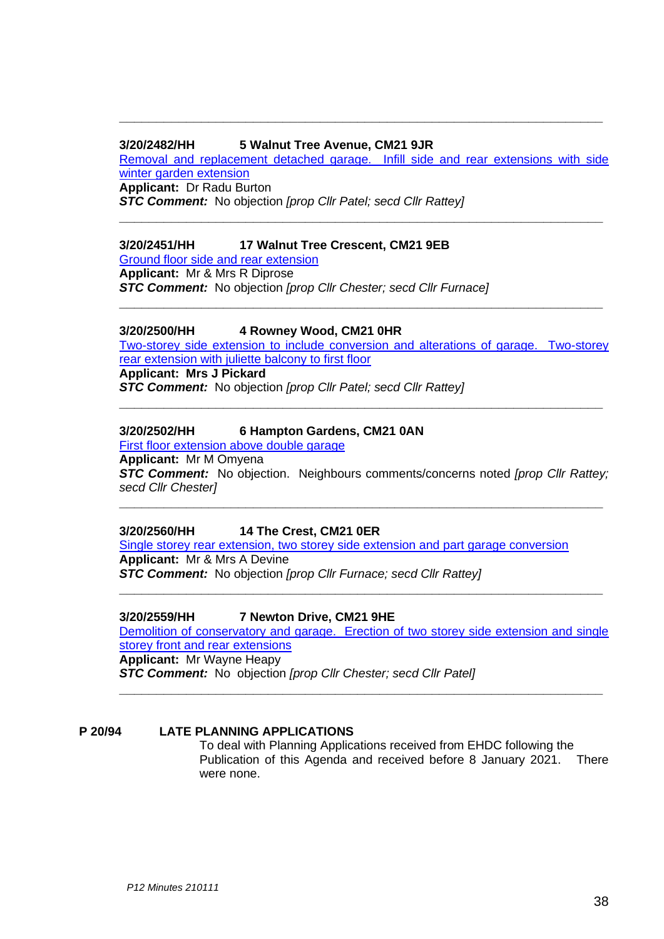#### **3/20/2482/HH 5 Walnut Tree Avenue, CM21 9JR**

Removal [and replacement detached garage. Infill side and rear extensions with side](https://publicaccess.eastherts.gov.uk/online-applications/applicationDetails.do?activeTab=documents&keyVal=QL138NGLJVH00)  [winter garden extension](https://publicaccess.eastherts.gov.uk/online-applications/applicationDetails.do?activeTab=documents&keyVal=QL138NGLJVH00) **Applicant:** Dr Radu Burton

**\_\_\_\_\_\_\_\_\_\_\_\_\_\_\_\_\_\_\_\_\_\_\_\_\_\_\_\_\_\_\_\_\_\_\_\_\_\_\_\_\_\_\_\_\_\_\_\_\_\_\_\_\_\_\_\_\_\_\_\_\_\_\_\_\_**

**\_\_\_\_\_\_\_\_\_\_\_\_\_\_\_\_\_\_\_\_\_\_\_\_\_\_\_\_\_\_\_\_\_\_\_\_\_\_\_\_\_\_\_\_\_\_\_\_\_\_\_\_\_\_\_\_\_\_\_\_\_\_\_\_\_**

*STC Comment:* No objection *[prop Cllr Patel; secd Cllr Rattey]*

#### **3/20/2451/HH 17 Walnut Tree Crescent, CM21 9EB**

[Ground floor side and rear extension](https://publicaccess.eastherts.gov.uk/online-applications/applicationDetails.do?activeTab=documents&keyVal=QKUWXEGLJT600)

**Applicant:** Mr & Mrs R Diprose *STC Comment:* No objection *[prop Cllr Chester; secd Cllr Furnace]*

#### **3/20/2500/HH 4 Rowney Wood, CM21 0HR**

[Two-storey side extension to include conversion and alterations of garage. Two-storey](https://publicaccess.eastherts.gov.uk/online-applications/applicationDetails.do?activeTab=documents&keyVal=QL46ASGLJWO00)  [rear extension with juliette](https://publicaccess.eastherts.gov.uk/online-applications/applicationDetails.do?activeTab=documents&keyVal=QL46ASGLJWO00) balcony to first floor

**\_\_\_\_\_\_\_\_\_\_\_\_\_\_\_\_\_\_\_\_\_\_\_\_\_\_\_\_\_\_\_\_\_\_\_\_\_\_\_\_\_\_\_\_\_\_\_\_\_\_\_\_\_\_\_\_\_\_\_\_\_\_\_\_\_**

**\_\_\_\_\_\_\_\_\_\_\_\_\_\_\_\_\_\_\_\_\_\_\_\_\_\_\_\_\_\_\_\_\_\_\_\_\_\_\_\_\_\_\_\_\_\_\_\_\_\_\_\_\_\_\_\_\_\_\_\_\_\_\_\_\_**

**Applicant: Mrs J Pickard** *STC Comment:* No objection *[prop Cllr Patel; secd Cllr Rattey]*

#### **3/20/2502/HH 6 Hampton Gardens, CM21 0AN**

[First floor extension above double garage](https://publicaccess.eastherts.gov.uk/online-applications/applicationDetails.do?activeTab=documents&keyVal=QL47X5GL00X00)

**Applicant:** Mr M Omyena

*STC Comment:* No objection. Neighbours comments/concerns noted *[prop Cllr Rattey; secd Cllr Chester]*

**\_\_\_\_\_\_\_\_\_\_\_\_\_\_\_\_\_\_\_\_\_\_\_\_\_\_\_\_\_\_\_\_\_\_\_\_\_\_\_\_\_\_\_\_\_\_\_\_\_\_\_\_\_\_\_\_\_\_\_\_\_\_\_\_\_**

**3/20/2560/HH 14 The Crest, CM21 0ER**

Single storey rear extension, two storey [side extension and part garage conversion](https://publicaccess.eastherts.gov.uk/online-applications/applicationDetails.do?activeTab=documents&keyVal=QLH531GLK0U00) **Applicant:** Mr & Mrs A Devine *STC Comment:* No objection *[prop Cllr Furnace; secd Cllr Rattey]*

**3/20/2559/HH 7 Newton Drive, CM21 9HE** [Demolition of conservatory and garage. Erection of two storey side extension and single](https://publicaccess.eastherts.gov.uk/online-applications/applicationDetails.do?activeTab=documents&keyVal=QLH52MGLK0S00)  [storey front and rear extensions](https://publicaccess.eastherts.gov.uk/online-applications/applicationDetails.do?activeTab=documents&keyVal=QLH52MGLK0S00) **Applicant:** Mr Wayne Heapy *STC Comment:* No objection *[prop Cllr Chester; secd Cllr Patel]*

**\_\_\_\_\_\_\_\_\_\_\_\_\_\_\_\_\_\_\_\_\_\_\_\_\_\_\_\_\_\_\_\_\_\_\_\_\_\_\_\_\_\_\_\_\_\_\_\_\_\_\_\_\_\_\_\_\_\_\_\_\_\_\_\_\_**

**\_\_\_\_\_\_\_\_\_\_\_\_\_\_\_\_\_\_\_\_\_\_\_\_\_\_\_\_\_\_\_\_\_\_\_\_\_\_\_\_\_\_\_\_\_\_\_\_\_\_\_\_\_\_\_\_\_\_\_\_\_\_\_\_\_**

#### **P 20/94 LATE PLANNING APPLICATIONS**

To deal with Planning Applications received from EHDC following the Publication of this Agenda and received before 8 January 2021. There were none.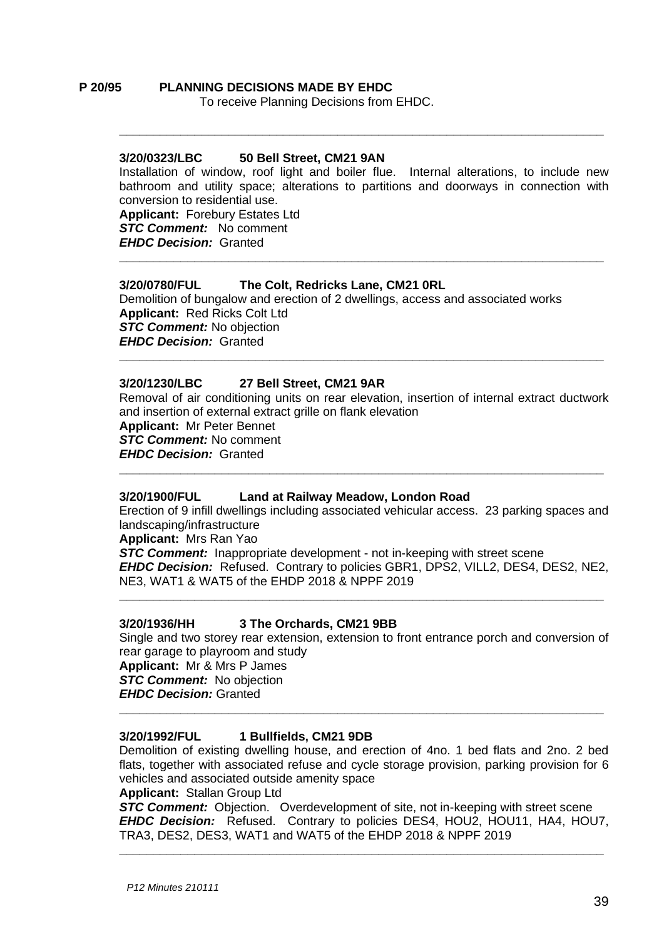#### **P 20/95 PLANNING DECISIONS MADE BY EHDC** To receive Planning Decisions from EHDC.

#### **3/20/0323/LBC 50 Bell Street, CM21 9AN**

Installation of window, roof light and boiler flue. Internal alterations, to include new bathroom and utility space; alterations to partitions and doorways in connection with conversion to residential use. **Applicant:** Forebury Estates Ltd

**\_\_\_\_\_\_\_\_\_\_\_\_\_\_\_\_\_\_\_\_\_\_\_\_\_\_\_\_\_\_\_\_\_\_\_\_\_\_\_\_\_\_\_\_\_\_\_\_\_\_\_\_\_\_\_\_\_\_\_\_\_\_\_\_\_\_\_\_\_\_\_**

**\_\_\_\_\_\_\_\_\_\_\_\_\_\_\_\_\_\_\_\_\_\_\_\_\_\_\_\_\_\_\_\_\_\_\_\_\_\_\_\_\_\_\_\_\_\_\_\_\_\_\_\_\_\_\_\_\_\_\_\_\_\_\_\_\_\_\_\_\_\_\_**

*STC Comment:* No comment *EHDC Decision:* Granted

# **3/20/0780/FUL The Colt, Redricks Lane, CM21 0RL**

Demolition of bungalow and erection of 2 dwellings, access and associated works **Applicant:** Red Ricks Colt Ltd *STC Comment:* No objection *EHDC Decision:* Granted **\_\_\_\_\_\_\_\_\_\_\_\_\_\_\_\_\_\_\_\_\_\_\_\_\_\_\_\_\_\_\_\_\_\_\_\_\_\_\_\_\_\_\_\_\_\_\_\_\_\_\_\_\_\_\_\_\_\_\_\_\_\_\_\_\_\_\_\_\_\_\_**

# **3/20/1230/LBC 27 Bell Street, CM21 9AR**

Removal of air conditioning units on rear elevation, insertion of internal extract ductwork and insertion of external extract grille on flank elevation **Applicant:** Mr Peter Bennet *STC Comment:* No comment *EHDC Decision:* Granted **\_\_\_\_\_\_\_\_\_\_\_\_\_\_\_\_\_\_\_\_\_\_\_\_\_\_\_\_\_\_\_\_\_\_\_\_\_\_\_\_\_\_\_\_\_\_\_\_\_\_\_\_\_\_\_\_\_\_\_\_\_\_\_\_\_\_\_\_\_\_\_**

#### **3/20/1900/FUL Land at Railway Meadow, London Road**

Erection of 9 infill dwellings including associated vehicular access. 23 parking spaces and landscaping/infrastructure **Applicant:** Mrs Ran Yao **STC Comment:** Inappropriate development - not in-keeping with street scene

*EHDC Decision:* Refused. Contrary to policies GBR1, DPS2, VILL2, DES4, DES2, NE2, NE3, WAT1 & WAT5 of the EHDP 2018 & NPPF 2019 **\_\_\_\_\_\_\_\_\_\_\_\_\_\_\_\_\_\_\_\_\_\_\_\_\_\_\_\_\_\_\_\_\_\_\_\_\_\_\_\_\_\_\_\_\_\_\_\_\_\_\_\_\_\_\_\_\_\_\_\_\_\_\_\_\_\_\_\_\_\_\_**

#### **3/20/1936/HH 3 The Orchards, CM21 9BB**

Single and two storey rear extension, extension to front entrance porch and conversion of rear garage to playroom and study **Applicant:** Mr & Mrs P James

*STC Comment:* No objection *EHDC Decision:* Granted **\_\_\_\_\_\_\_\_\_\_\_\_\_\_\_\_\_\_\_\_\_\_\_\_\_\_\_\_\_\_\_\_\_\_\_\_\_\_\_\_\_\_\_\_\_\_\_\_\_\_\_\_\_\_\_\_\_\_\_\_\_\_\_\_\_\_\_\_\_\_\_**

# **3/20/1992/FUL 1 Bullfields, CM21 9DB**

Demolition of existing dwelling house, and erection of 4no. 1 bed flats and 2no. 2 bed flats, together with associated refuse and cycle storage provision, parking provision for 6 vehicles and associated outside amenity space

#### **Applicant:** Stallan Group Ltd

**STC Comment:** Objection. Overdevelopment of site, not in-keeping with street scene *EHDC Decision:* Refused. Contrary to policies DES4, HOU2, HOU11, HA4, HOU7, TRA3, DES2, DES3, WAT1 and WAT5 of the EHDP 2018 & NPPF 2019

**\_\_\_\_\_\_\_\_\_\_\_\_\_\_\_\_\_\_\_\_\_\_\_\_\_\_\_\_\_\_\_\_\_\_\_\_\_\_\_\_\_\_\_\_\_\_\_\_\_\_\_\_\_\_\_\_\_\_\_\_\_\_\_\_\_\_\_\_\_\_\_**